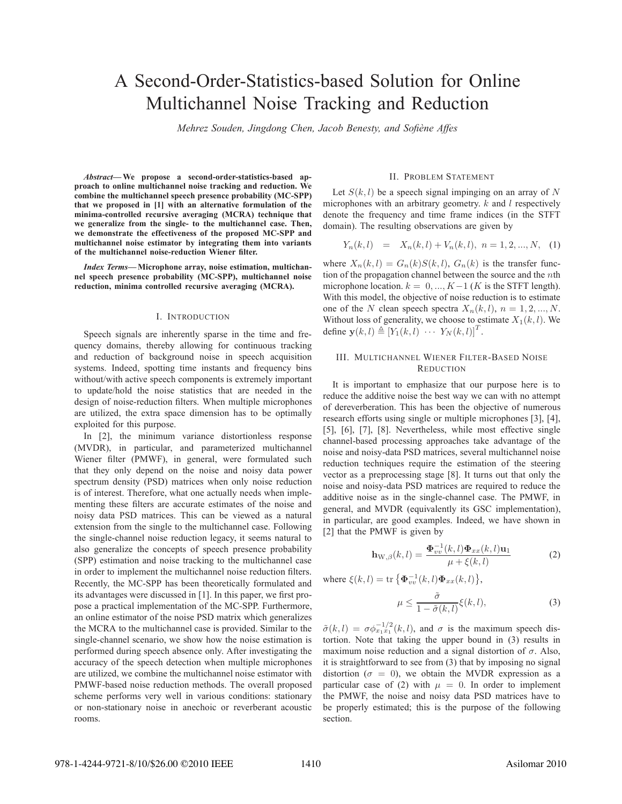# A Second-Order-Statistics-based Solution for Online Multichannel Noise Tracking and Reduction

*Mehrez Souden, Jingdong Chen, Jacob Benesty, and Sofiene Affes `*

*Abstract***— We propose a second-order-statistics-based approach to online multichannel noise tracking and reduction. We combine the multichannel speech presence probability (MC-SPP) that we proposed in [1] with an alternative formulation of the minima-controlled recursive averaging (MCRA) technique that we generalize from the single- to the multichannel case. Then, we demonstrate the effectiveness of the proposed MC-SPP and multichannel noise estimator by integrating them into variants of the multichannel noise-reduction Wiener filter.**

*Index Terms***— Microphone array, noise estimation, multichannel speech presence probability (MC-SPP), multichannel noise reduction, minima controlled recursive averaging (MCRA).**

## I. INTRODUCTION

Speech signals are inherently sparse in the time and frequency domains, thereby allowing for continuous tracking and reduction of background noise in speech acquisition systems. Indeed, spotting time instants and frequency bins without/with active speech components is extremely important to update/hold the noise statistics that are needed in the design of noise-reduction filters. When multiple microphones are utilized, the extra space dimension has to be optimally exploited for this purpose.

In [2], the minimum variance distortionless response (MVDR), in particular, and parameterized multichannel Wiener filter (PMWF), in general, were formulated such that they only depend on the noise and noisy data power spectrum density (PSD) matrices when only noise reduction is of interest. Therefore, what one actually needs when implementing these filters are accurate estimates of the noise and noisy data PSD matrices. This can be viewed as a natural extension from the single to the multichannel case. Following the single-channel noise reduction legacy, it seems natural to also generalize the concepts of speech presence probability (SPP) estimation and noise tracking to the multichannel case in order to implement the multichannel noise reduction filters. Recently, the MC-SPP has been theoretically formulated and its advantages were discussed in [1]. In this paper, we first propose a practical implementation of the MC-SPP. Furthermore, an online estimator of the noise PSD matrix which generalizes the MCRA to the multichannel case is provided. Similar to the single-channel scenario, we show how the noise estimation is performed during speech absence only. After investigating the accuracy of the speech detection when multiple microphones are utilized, we combine the multichannel noise estimator with PMWF-based noise reduction methods. The overall proposed scheme performs very well in various conditions: stationary or non-stationary noise in anechoic or reverberant acoustic rooms.

#### II. PROBLEM STATEMENT

Let  $S(k, l)$  be a speech signal impinging on an array of N microphones with an arbitrary geometry.  $k$  and  $l$  respectively denote the frequency and time frame indices (in the STFT domain). The resulting observations are given by

$$
Y_n(k,l) = X_n(k,l) + V_n(k,l), \ n = 1, 2, ..., N, \quad (1)
$$

where  $X_n(k,l) = G_n(k)S(k,l)$ ,  $G_n(k)$  is the transfer function of the propagation channel between the source and the  $n$ th microphone location.  $k = 0, ..., K-1$  (K is the STFT length). With this model, the objective of noise reduction is to estimate one of the N clean speech spectra  $X_n(k,l)$ ,  $n = 1, 2, ..., N$ . Without loss of generality, we choose to estimate  $X_1(k,l)$ . We define  $\mathbf{y}(k,l) \triangleq [Y_1(k,l) \cdots Y_N(k,l)]^T$ .

# III. MULTICHANNEL WIENER FILTER-BASED NOISE **REDUCTION**

It is important to emphasize that our purpose here is to reduce the additive noise the best way we can with no attempt of dereverberation. This has been the objective of numerous research efforts using single or multiple microphones [3], [4], [5], [6], [7], [8]. Nevertheless, while most effective single channel-based processing approaches take advantage of the noise and noisy-data PSD matrices, several multichannel noise reduction techniques require the estimation of the steering vector as a preprocessing stage [8]. It turns out that only the noise and noisy-data PSD matrices are required to reduce the additive noise as in the single-channel case. The PMWF, in general, and MVDR (equivalently its GSC implementation), in particular, are good examples. Indeed, we have shown in [2] that the PMWF is given by

$$
\mathbf{h}_{\mathbf{W},\beta}(k,l) = \frac{\mathbf{\Phi}_{vv}^{-1}(k,l)\mathbf{\Phi}_{xx}(k,l)\mathbf{u}_1}{\mu + \xi(k,l)} \tag{2}
$$

where  $\xi(k, l) = \text{tr} \{ \Phi_{vv}^{-1}(k, l) \Phi_{xx}(k, l) \},$ 

$$
\mu \le \frac{\tilde{\sigma}}{1 - \tilde{\sigma}(k, l)} \xi(k, l),\tag{3}
$$

 $\tilde{\sigma}(k,l) = \sigma \phi_{x_1x_1}^{-1/2}(k,l)$ , and  $\sigma$  is the maximum speech distortion. Note that taking the upper bound in (3) results in maximum noise reduction and a signal distortion of  $\sigma$ . Also, it is straightforward to see from (3) that by imposing no signal distortion ( $\sigma = 0$ ), we obtain the MVDR expression as a particular case of (2) with  $\mu = 0$ . In order to implement the PMWF, the noise and noisy data PSD matrices have to be properly estimated; this is the purpose of the following section.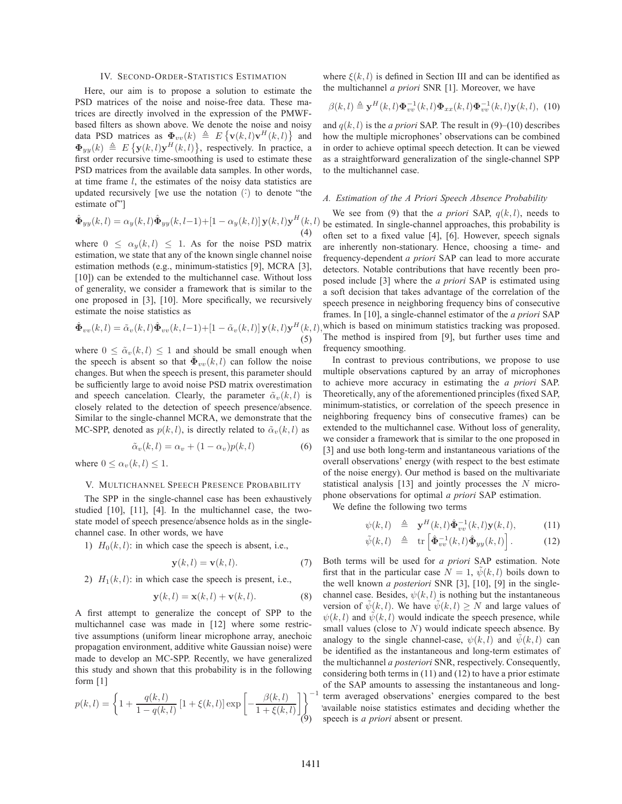### IV. SECOND-ORDER-STATISTICS ESTIMATION

Here, our aim is to propose a solution to estimate the PSD matrices of the noise and noise-free data. These matrices are directly involved in the expression of the PMWFbased filters as shown above. We denote the noise and noisy data PSD matrices as  $\Phi_{vv}(k) \triangleq E\{\mathbf{v}(k,l)\mathbf{v}^H(k,l)\}\$ and  $\Phi_{yy}(k) \triangleq E\left\{\mathbf{y}(k,l)\mathbf{y}^H(k,l)\right\}$ , respectively. In practice, a first order recursive time-smoothing is used to estimate these PSD matrices from the available data samples. In other words, at time frame l, the estimates of the noisy data statistics are updated recursively [we use the notation  $(\hat{\cdot})$  to denote "the estimate of"]

$$
\hat{\mathbf{\Phi}}_{yy}(k,l) = \alpha_y(k,l)\hat{\mathbf{\Phi}}_{yy}(k,l-1) + \left[1 - \alpha_y(k,l)\right]\mathbf{y}(k,l)\mathbf{y}^H(k,l)
$$
\n(4)

where  $0 \leq \alpha_y(k,l) \leq 1$ . As for the noise PSD matrix estimation, we state that any of the known single channel noise estimation methods (e.g., minimum-statistics [9], MCRA [3], [10]) can be extended to the multichannel case. Without loss of generality, we consider a framework that is similar to the one proposed in [3], [10]. More specifically, we recursively estimate the noise statistics as

$$
\hat{\mathbf{\Phi}}_{vv}(k,l) = \tilde{\alpha}_v(k,l)\hat{\mathbf{\Phi}}_{vv}(k,l-1) + \left[1 - \tilde{\alpha}_v(k,l)\right]\mathbf{y}(k,l)\mathbf{y}^H(k,l),\tag{5}
$$

where  $0 \leq \tilde{\alpha}_v(k,l) \leq 1$  and should be small enough when the speech is absent so that  $\hat{\Phi}_{vv}(k,l)$  can follow the noise changes. But when the speech is present, this parameter should be sufficiently large to avoid noise PSD matrix overestimation and speech cancelation. Clearly, the parameter  $\tilde{\alpha}_v(k,l)$  is closely related to the detection of speech presence/absence. Similar to the single-channel MCRA, we demonstrate that the MC-SPP, denoted as  $p(k, l)$ , is directly related to  $\tilde{\alpha}_v(k, l)$  as

$$
\tilde{\alpha}_v(k,l) = \alpha_v + (1 - \alpha_v)p(k,l) \tag{6}
$$

where  $0 \leq \alpha_v(k,l) \leq 1$ .

# V. MULTICHANNEL SPEECH PRESENCE PROBABILITY

The SPP in the single-channel case has been exhaustively studied [10], [11], [4]. In the multichannel case, the twostate model of speech presence/absence holds as in the singlechannel case. In other words, we have

1)  $H_0(k, l)$ : in which case the speech is absent, i.e.,

$$
\mathbf{y}(k,l) = \mathbf{v}(k,l). \tag{7}
$$

2)  $H_1(k, l)$ : in which case the speech is present, i.e.,

$$
\mathbf{y}(k,l) = \mathbf{x}(k,l) + \mathbf{v}(k,l). \tag{8}
$$

A first attempt to generalize the concept of SPP to the multichannel case was made in [12] where some restrictive assumptions (uniform linear microphone array, anechoic propagation environment, additive white Gaussian noise) were made to develop an MC-SPP. Recently, we have generalized this study and shown that this probability is in the following form [1]

$$
p(k,l) = \left\{ 1 + \frac{q(k,l)}{1 - q(k,l)} \left[ 1 + \xi(k,l) \right] \exp\left[ -\frac{\beta(k,l)}{1 + \xi(k,l)} \right] \right\}^{-1}
$$
(9)

where  $\xi(k,l)$  is defined in Section III and can be identified as the multichannel *a priori* SNR [1]. Moreover, we have

$$
\beta(k,l) \triangleq \mathbf{y}^H(k,l)\mathbf{\Phi}_{vv}^{-1}(k,l)\mathbf{\Phi}_{xx}(k,l)\mathbf{\Phi}_{vv}^{-1}(k,l)\mathbf{y}(k,l), \tag{10}
$$

and  $q(k, l)$  is the *a priori* SAP. The result in  $(9)$ – $(10)$  describes how the multiple microphones' observations can be combined in order to achieve optimal speech detection. It can be viewed as a straightforward generalization of the single-channel SPP to the multichannel case.

## *A. Estimation of the A Priori Speech Absence Probability*

We see from (9) that the *a priori* SAP,  $q(k, l)$ , needs to be estimated. In single-channel approaches, this probability is often set to a fixed value [4], [6]. However, speech signals are inherently non-stationary. Hence, choosing a time- and frequency-dependent *a priori* SAP can lead to more accurate detectors. Notable contributions that have recently been proposed include [3] where the *a priori* SAP is estimated using a soft decision that takes advantage of the correlation of the speech presence in neighboring frequency bins of consecutive frames. In [10], a single-channel estimator of the *a priori* SAP which is based on minimum statistics tracking was proposed. The method is inspired from [9], but further uses time and frequency smoothing.

In contrast to previous contributions, we propose to use multiple observations captured by an array of microphones to achieve more accuracy in estimating the *a priori* SAP. Theoretically, any of the aforementioned principles (fixed SAP, minimum-statistics, or correlation of the speech presence in neighboring frequency bins of consecutive frames) can be extended to the multichannel case. Without loss of generality, we consider a framework that is similar to the one proposed in [3] and use both long-term and instantaneous variations of the overall observations' energy (with respect to the best estimate of the noise energy). Our method is based on the multivariate statistical analysis [13] and jointly processes the N microphone observations for optimal *a priori* SAP estimation.

We define the following two terms

$$
\psi(k,l) \triangleq \mathbf{y}^{H}(k,l)\hat{\mathbf{\Phi}}_{vv}^{-1}(k,l)\mathbf{y}(k,l), \quad (11)
$$

$$
\tilde{\psi}(k,l) \triangleq \text{tr}\left[\hat{\mathbf{\Phi}}_{vv}^{-1}(k,l)\hat{\mathbf{\Phi}}_{yy}(k,l)\right]. \tag{12}
$$

, available noise statistics estimates and deciding whether the Both terms will be used for *a priori* SAP estimation. Note first that in the particular case  $N = 1$ ,  $\psi(k, l)$  boils down to the well known *a posteriori* SNR [3], [10], [9] in the singlechannel case. Besides,  $\psi(k, l)$  is nothing but the instantaneous version of  $\psi(k,l)$ . We have  $\psi(k,l) \geq N$  and large values of  $\psi(k,l)$  and  $\tilde{\psi}(k,l)$  would indicate the speech presence, while small values (close to  $N$ ) would indicate speech absence. By analogy to the single channel-case,  $\psi(k, l)$  and  $\psi(k, l)$  can be identified as the instantaneous and long-term estimates of the multichannel *a posteriori* SNR, respectively. Consequently, considering both terms in (11) and (12) to have a prior estimate of the SAP amounts to assessing the instantaneous and longterm averaged observations' energies compared to the best speech is *a priori* absent or present.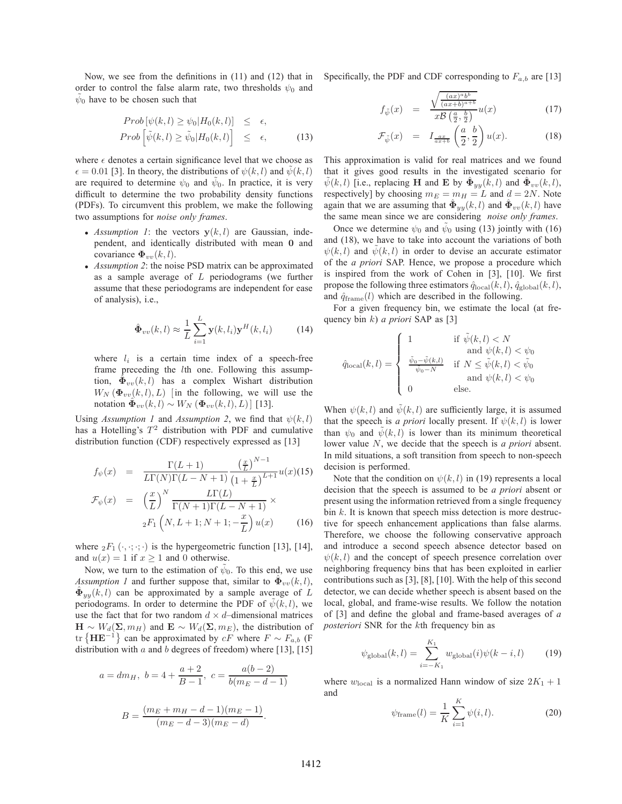Now, we see from the definitions in (11) and (12) that in order to control the false alarm rate, two thresholds  $\psi_0$  and  $\psi_0$  have to be chosen such that

$$
Prob\left[\psi(k,l) \geq \psi_0 | H_0(k,l)\right] \leq \epsilon,
$$
  
\n
$$
Prob\left[\tilde{\psi}(k,l) \geq \tilde{\psi}_0 | H_0(k,l)\right] \leq \epsilon,
$$
\n(13)

where  $\epsilon$  denotes a certain significance level that we choose as  $\epsilon = 0.01$  [3]. In theory, the distributions of  $\psi(k,l)$  and  $\psi(k,l)$ are required to determine  $\psi_0$  and  $\tilde{\psi}_0$ . In practice, it is very difficult to determine the two probability density functions (PDFs). To circumvent this problem, we make the following two assumptions for *noise only frames*.

- *Assumption 1*: the vectors  $y(k, l)$  are Gaussian, independent, and identically distributed with mean **0** and covariance  $\mathbf{\Phi}_{vv}(k,l)$ .
- *Assumption 2*: the noise PSD matrix can be approximated as a sample average of  $L$  periodograms (we further assume that these periodograms are independent for ease of analysis), i.e.,

$$
\hat{\mathbf{\Phi}}_{vv}(k,l) \approx \frac{1}{L} \sum_{i=1}^{L} \mathbf{y}(k,l_i) \mathbf{y}^H(k,l_i)
$$
(14)

where  $l_i$  is a certain time index of a speech-free frame preceding the lth one. Following this assumption,  $\hat{\Phi}_{vv}(k,l)$  has a complex Wishart distribution  $W_N(\Phi_{vv}(k,l), L)$  [in the following, we will use the notation  $\Phi_{vv}(k,l) \sim W_N(\Phi_{vv}(k,l), L)$  [13].

Using *Assumption 1* and *Assumption 2*, we find that  $\psi(k, l)$ has a Hotelling's  $T^2$  distribution with PDF and cumulative distribution function (CDF) respectively expressed as [13]

$$
f_{\psi}(x) = \frac{\Gamma(L+1)}{L\Gamma(N)\Gamma(L-N+1)} \frac{\left(\frac{x}{L}\right)^{N-1}}{\left(1+\frac{x}{L}\right)^{L+1}} u(x)(15)
$$

$$
\mathcal{F}_{\psi}(x) = \left(\frac{x}{L}\right)^{N} \frac{L\Gamma(L)}{\Gamma(N+1)\Gamma(L-N+1)} \times
$$

$$
{}_2F_1\left(N, L+1; N+1; -\frac{x}{L}\right)u(x) \qquad (16)
$$

where  ${}_2F_1(\cdot, \cdot; \cdot; \cdot)$  is the hypergeometric function [13], [14], and  $u(x)=1$  if  $x \ge 1$  and 0 otherwise.

Now, we turn to the estimation of  $\psi_0$ . To this end, we use *Assumption 1* and further suppose that, similar to  $\hat{\Phi}_{vv}(k,l)$ ,  $\hat{\Phi}_{yy}(k,l)$  can be approximated by a sample average of L periodograms. In order to determine the PDF of  $\psi(k,l)$ , we use the fact that for two random  $d \times d$ –dimensional matrices  $\mathbf{H} \sim W_d(\mathbf{\Sigma}, m_H)$  and  $\mathbf{E} \sim W_d(\mathbf{\Sigma}, m_E)$ , the distribution of tr  ${H{\bf E}^{-1}}$  can be approximated by  $cF$  where  $F \sim F_{a,b}$  (F distribution with a and b degrees of freedom) where [13], [15]

$$
a = dm_H, \ b = 4 + \frac{a+2}{B-1}, \ c = \frac{a(b-2)}{b(m_E - d - 1)}
$$

$$
B = \frac{(m_E + m_H - d - 1)(m_E - 1)}{(m_E - d - 3)(m_E - d)}.
$$

Specifically, the PDF and CDF corresponding to  $F_{a,b}$  are [13]

$$
f_{\tilde{\psi}}(x) = \frac{\sqrt{\frac{(ax)^a b^b}{(ax+b)^{a+b}}}}{x \mathcal{B}\left(\frac{a}{2}, \frac{b}{2}\right)} u(x) \tag{17}
$$

$$
\mathcal{F}_{\tilde{\psi}}(x) = I_{\frac{ax}{ax+b}}\left(\frac{a}{2},\frac{b}{2}\right)u(x). \tag{18}
$$

This approximation is valid for real matrices and we found that it gives good results in the investigated scenario for  $\tilde{\psi}(k,l)$  [i.e., replacing **H** and **E** by  $\hat{\Phi}_{yy}(k,l)$  and  $\hat{\Phi}_{vv}(k,l)$ , respectively] by choosing  $m_E = m_H = L$  and  $d = 2N$ . Note again that we are assuming that  $\hat{\Phi}_{yy}(k,l)$  and  $\hat{\Phi}_{vv}(k,l)$  have the same mean since we are considering *noise only frames*.

Once we determine  $\psi_0$  and  $\tilde{\psi}_0$  using (13) jointly with (16) and (18), we have to take into account the variations of both  $\psi(k,l)$  and  $\psi(k,l)$  in order to devise an accurate estimator of the *a priori* SAP. Hence, we propose a procedure which is inspired from the work of Cohen in [3], [10]. We first propose the following three estimators  $\hat{q}_{\text{local}}(k,l)$ ,  $\hat{q}_{\text{global}}(k,l)$ , and  $\hat{q}_{frame}(l)$  which are described in the following.

For a given frequency bin, we estimate the local (at frequency bin k) *a priori* SAP as [3]

$$
\hat{q}_{\text{local}}(k,l) = \begin{cases}\n1 & \text{if } \tilde{\psi}(k,l) < N \\
\text{and } \psi(k,l) < \psi_0 \\
\frac{\tilde{\psi}_0 - \tilde{\psi}(k,l)}{\tilde{\psi}_0 - N} & \text{if } N \le \tilde{\psi}(k,l) < \tilde{\psi}_0 \\
0 & \text{else.}\n\end{cases}
$$

When  $\psi(k,l)$  and  $\bar{\psi}(k,l)$  are sufficiently large, it is assumed that the speech is *a priori* locally present. If  $\psi(k, l)$  is lower than  $\psi_0$  and  $\psi(k,l)$  is lower than its minimum theoretical lower value N, we decide that the speech is *a priori* absent. In mild situations, a soft transition from speech to non-speech decision is performed.

Note that the condition on  $\psi(k, l)$  in (19) represents a local decision that the speech is assumed to be *a priori* absent or present using the information retrieved from a single frequency bin  $k$ . It is known that speech miss detection is more destructive for speech enhancement applications than false alarms. Therefore, we choose the following conservative approach and introduce a second speech absence detector based on  $\psi(k, l)$  and the concept of speech presence correlation over neighboring frequency bins that has been exploited in earlier contributions such as [3], [8], [10]. With the help of this second detector, we can decide whether speech is absent based on the local, global, and frame-wise results. We follow the notation of [3] and define the global and frame-based averages of *a posteriori* SNR for the kth frequency bin as

$$
\psi_{\text{global}}(k,l) = \sum_{i=-K_1}^{K_1} w_{\text{global}}(i)\psi(k-i,l) \tag{19}
$$

where  $w_{\text{local}}$  is a normalized Hann window of size  $2K_1 + 1$ and

$$
\psi_{\text{frame}}(l) = \frac{1}{K} \sum_{i=1}^{K} \psi(i, l).
$$
 (20)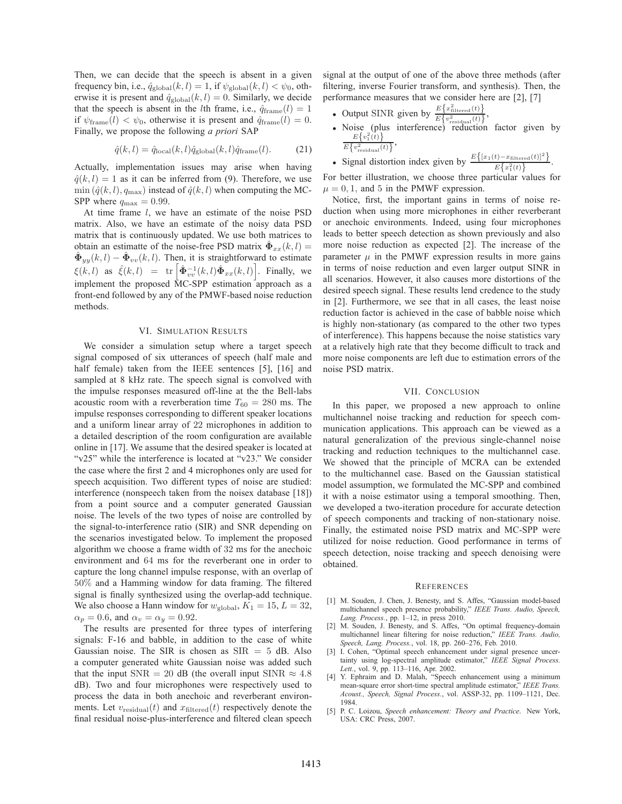Then, we can decide that the speech is absent in a given frequency bin, i.e.,  $\hat{q}_{\text{global}}(k,l)=1$ , if  $\psi_{\text{global}}(k,l) < \psi_0$ , otherwise it is present and  $\hat{q}_{\text{global}}(k, l) = 0$ . Similarly, we decide that the speech is absent in the *l*th frame, i.e.,  $\hat{q}_{frame}(l)=1$ if  $\psi_{\text{frame}}(l) < \psi_0$ , otherwise it is present and  $\hat{q}_{\text{frame}}(l) = 0$ . Finally, we propose the following *a priori* SAP

$$
\hat{q}(k,l) = \hat{q}_{\text{local}}(k,l)\hat{q}_{\text{global}}(k,l)\hat{q}_{\text{frame}}(l). \tag{21}
$$

Actually, implementation issues may arise when having  $\hat{q}(k,l)=1$  as it can be inferred from (9). Therefore, we use  $\min(\hat{q}(k,l), q_{\text{max}})$  instead of  $\hat{q}(k,l)$  when computing the MC-SPP where  $q_{\text{max}} = 0.99$ .

At time frame  $l$ , we have an estimate of the noise PSD matrix. Also, we have an estimate of the noisy data PSD matrix that is continuously updated. We use both matrices to obtain an estimatte of the noise-free PSD matrix  $\hat{\Phi}_{xx}(k,l)$  =  $\hat{\Phi}_{yy}(k,l) - \hat{\Phi}_{vv}(k,l)$ . Then, it is straightforward to estimate  $\xi(k,l)$  as  $\hat{\xi}(k,l) = \text{tr} \left[ \hat{\Phi}_{vv}^{-1}(k,l) \hat{\Phi}_{xx}(k,l) \right]$ . Finally, we implement the proposed MC-SPP estimation approach as a front-end followed by any of the PMWF-based noise reduction methods.

## VI. SIMULATION RESULTS

We consider a simulation setup where a target speech signal composed of six utterances of speech (half male and half female) taken from the IEEE sentences [5], [16] and sampled at 8 kHz rate. The speech signal is convolved with the impulse responses measured off-line at the the Bell-labs acoustic room with a reverberation time  $T_{60} = 280$  ms. The impulse responses corresponding to different speaker locations and a uniform linear array of 22 microphones in addition to a detailed description of the room configuration are available online in [17]. We assume that the desired speaker is located at "v25" while the interference is located at "v23." We consider the case where the first 2 and 4 microphones only are used for speech acquisition. Two different types of noise are studied: interference (nonspeech taken from the noisex database [18]) from a point source and a computer generated Gaussian noise. The levels of the two types of noise are controlled by the signal-to-interference ratio (SIR) and SNR depending on the scenarios investigated below. To implement the proposed algorithm we choose a frame width of 32 ms for the anechoic environment and 64 ms for the reverberant one in order to capture the long channel impulse response, with an overlap of 50% and a Hamming window for data framing. The filtered signal is finally synthesized using the overlap-add technique. We also choose a Hann window for  $w_{\text{global}}$ ,  $K_1 = 15$ ,  $L = 32$ ,  $\alpha_p = 0.6$ , and  $\alpha_v = \alpha_y = 0.92$ .

The results are presented for three types of interfering signals: F-16 and babble, in addition to the case of white Gaussian noise. The SIR is chosen as  $SIR = 5$  dB. Also a computer generated white Gaussian noise was added such that the input SNR = 20 dB (the overall input SINR  $\approx 4.8$ ) dB). Two and four microphones were respectively used to process the data in both anechoic and reverberant environments. Let  $v_{\text{residual}}(t)$  and  $x_{\text{filtered}}(t)$  respectively denote the final residual noise-plus-interference and filtered clean speech

signal at the output of one of the above three methods (after filtering, inverse Fourier transform, and synthesis). Then, the performance measures that we consider here are [2], [7]

• Output SINR given by  $\frac{E\left\{x_{\text{filtered}}^2(t)\right\}}{E\left(\frac{x_{\text{filtered}}^2(t)}{E\left(\frac{x_{\text{filtered}}^2(t)}{E\left(\frac{x_{\text{filtered}}^2(t)}\right)}\right)}\right)}$  $E\left\{v_{\text{residual}}^2(t)\right\},\$ 

• Noise (plus interference) readuction factor given by 
$$
\frac{E\{v_1^2(t)\}}{E\{v_{\text{residual}}^2(t)\}},
$$

• Signal distortion index given by 
$$
\frac{E\{[x_1(t)-x_{\text{filtered}}(t)]^2\}}{E\{x_1^2(t)\}}.
$$

For better illustration, we choose three particular values for  $\mu = 0, 1$ , and 5 in the PMWF expression.

Notice, first, the important gains in terms of noise reduction when using more microphones in either reverberant or anechoic environments. Indeed, using four microphones leads to better speech detection as shown previously and also more noise reduction as expected [2]. The increase of the parameter  $\mu$  in the PMWF expression results in more gains in terms of noise reduction and even larger output SINR in all scenarios. However, it also causes more distortions of the desired speech signal. These results lend credence to the study in [2]. Furthermore, we see that in all cases, the least noise reduction factor is achieved in the case of babble noise which is highly non-stationary (as compared to the other two types of interference). This happens because the noise statistics vary at a relatively high rate that they become difficult to track and more noise components are left due to estimation errors of the noise PSD matrix.

#### VII. CONCLUSION

In this paper, we proposed a new approach to online multichannel noise tracking and reduction for speech communication applications. This approach can be viewed as a natural generalization of the previous single-channel noise tracking and reduction techniques to the multichannel case. We showed that the principle of MCRA can be extended to the multichannel case. Based on the Gaussian statistical model assumption, we formulated the MC-SPP and combined it with a noise estimator using a temporal smoothing. Then, we developed a two-iteration procedure for accurate detection of speech components and tracking of non-stationary noise. Finally, the estimated noise PSD matrix and MC-SPP were utilized for noise reduction. Good performance in terms of speech detection, noise tracking and speech denoising were obtained.

#### **REFERENCES**

- [1] M. Souden, J. Chen, J. Benesty, and S. Affes, "Gaussian model-based multichannel speech presence probability," *IEEE Trans. Audio, Speech, Lang. Process.*, pp. 1–12, in press 2010.
- [2] M. Souden, J. Benesty, and S. Affes, "On optimal frequency-domain multichannel linear filtering for noise reduction," *IEEE Trans. Audio, Speech, Lang. Process.*, vol. 18, pp. 260–276, Feb. 2010.
- [3] I. Cohen, "Optimal speech enhancement under signal presence uncertainty using log-spectral amplitude estimator," *IEEE Signal Process. Lett.*, vol. 9, pp. 113–116, Apr. 2002.
- [4] Y. Ephraim and D. Malah, "Speech enhancement using a minimum mean-square error short-time spectral amplitude estimator," *IEEE Trans. Acoust., Speech, Signal Process.*, vol. ASSP-32, pp. 1109–1121, Dec. 1984.
- [5] P. C. Loizou, *Speech enhancement: Theory and Practice*. New York, USA: CRC Press, 2007.